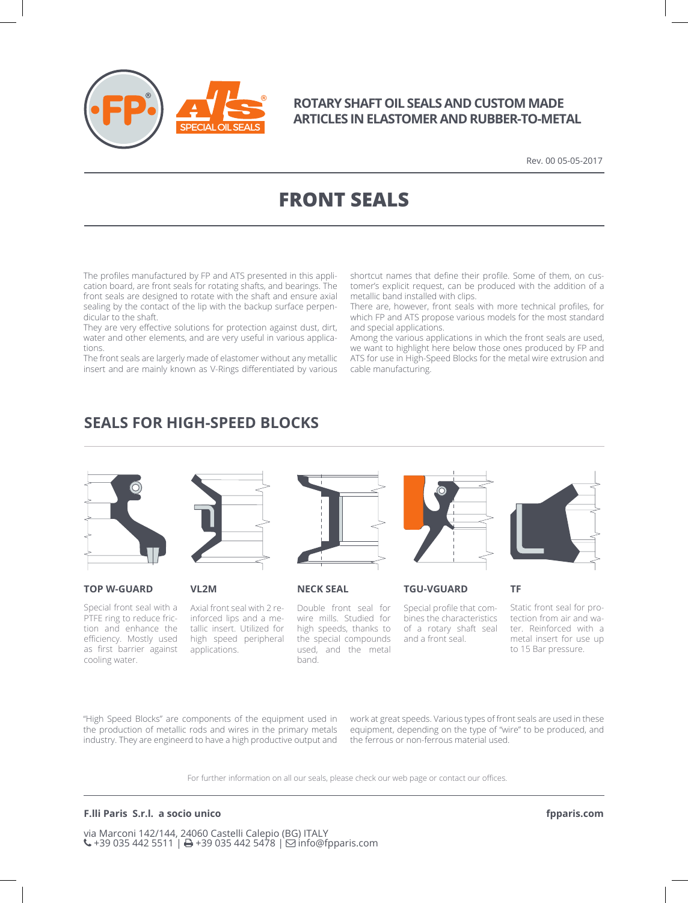

### **ROTARY SHAFT OIL SEALS AND CUSTOM MADE ARTICLES IN ELASTOMER AND RUBBER-TO-METAL**

Rev. 00 05-05-2017

# **FRONT SEALS**

The profiles manufactured by FP and ATS presented in this application board, are front seals for rotating shafts, and bearings. The front seals are designed to rotate with the shaft and ensure axial sealing by the contact of the lip with the backup surface perpendicular to the shaft.

They are very effective solutions for protection against dust, dirt, water and other elements, and are very useful in various applications.

The front seals are largerly made of elastomer without any metallic insert and are mainly known as V-Rings differentiated by various shortcut names that define their profile. Some of them, on customer's explicit request, can be produced with the addition of a metallic band installed with clips.

There are, however, front seals with more technical profiles, for which FP and ATS propose various models for the most standard and special applications.

Among the various applications in which the front seals are used, we want to highlight here below those ones produced by FP and ATS for use in High-Speed Blocks for the metal wire extrusion and cable manufacturing.

## **SEALS FOR HIGH-SPEED BLOCKS**

**VL2M**





#### **TOP W-GUARD**

Special front seal with a PTFE ring to reduce friction and enhance the efficiency. Mostly used as first barrier against cooling water.



Axial front seal with 2 reinforced lips and a metallic insert. Utilized for high speed peripheral applications.



Double front seal for wire mills. Studied for high speeds, thanks to the special compounds used, and the metal band.



**NECK SEAL TGU-VGUARD**

Special profile that combines the characteristics of a rotary shaft seal and a front seal.

Static front seal for protection from air and water. Reinforced with a metal insert for use up to 15 Bar pressure.

**TF**

"High Speed Blocks" are components of the equipment used in the production of metallic rods and wires in the primary metals industry. They are engineerd to have a high productive output and work at great speeds. Various types of front seals are used in these equipment, depending on the type of "wire" to be produced, and the ferrous or non-ferrous material used.

For further information on all our seals, please check our web page or contact our offices.

#### **F.lli Paris S.r.l. a socio unico**

via Marconi 142/144, 24060 Castelli Calepio (BG) ITALY  $\left\langle \cdot\right\rangle$  +39 035 442 5511 |  $\rightleftharpoons$  +39 035 442 5478 |  $\rightleftharpoons$  info@fpparis.com **fpparis.com**